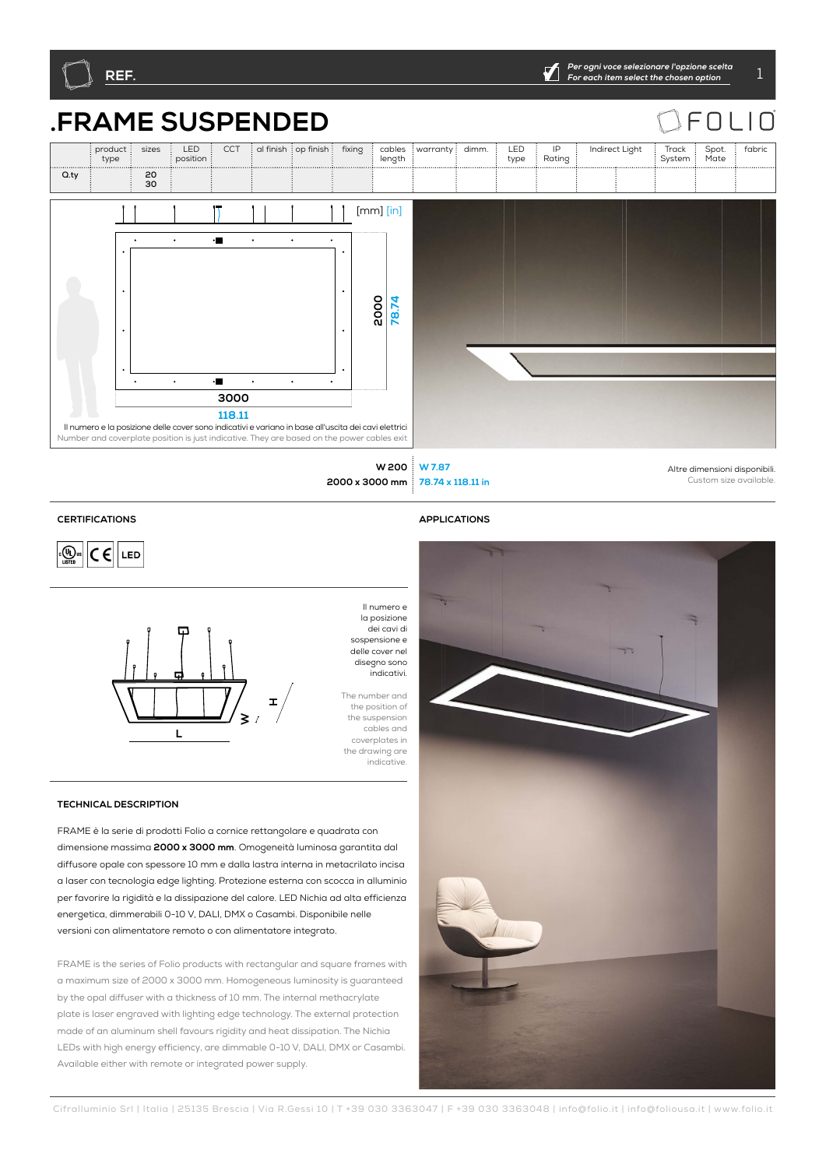



**78.74 x 118.11 in W 200 2000 x 3000 mm**

Altre dimensioni disponibili. Custom size available.

## **CERTIFICATIONS APPLICATIONS**





dei cavi di sospensione e delle cover nel disegno sono indicativi. The number and the position of

## **TECHNICAL DESCRIPTION**

FRAME è la serie di prodotti Folio a cornice rettangolare e quadrata con dimensione massima **2000 x 3000 mm**. Omogeneità luminosa garantita dal diffusore opale con spessore 10 mm e dalla lastra interna in metacrilato incisa a laser con tecnologia edge lighting. Protezione esterna con scocca in alluminio per favorire la rigidità e la dissipazione del calore. LED Nichia ad alta efficienza energetica, dimmerabili 0-10 V, DALI, DMX o Casambi. Disponibile nelle versioni con alimentatore remoto o con alimentatore integrato.

FRAME is the series of Folio products with rectangular and square frames with a maximum size of 2000 x 3000 mm. Homogeneous luminosity is guaranteed by the opal diffuser with a thickness of 10 mm. The internal methacrylate plate is laser engraved with lighting edge technology. The external protection made of an aluminum shell favours rigidity and heat dissipation. The Nichia LEDs with high energy efficiency, are dimmable 0-10 V, DALI, DMX or Casambi. Available either with remote or integrated power supply.



fabric

Spot. Mate

 $\sqsubset$  $\bigcap$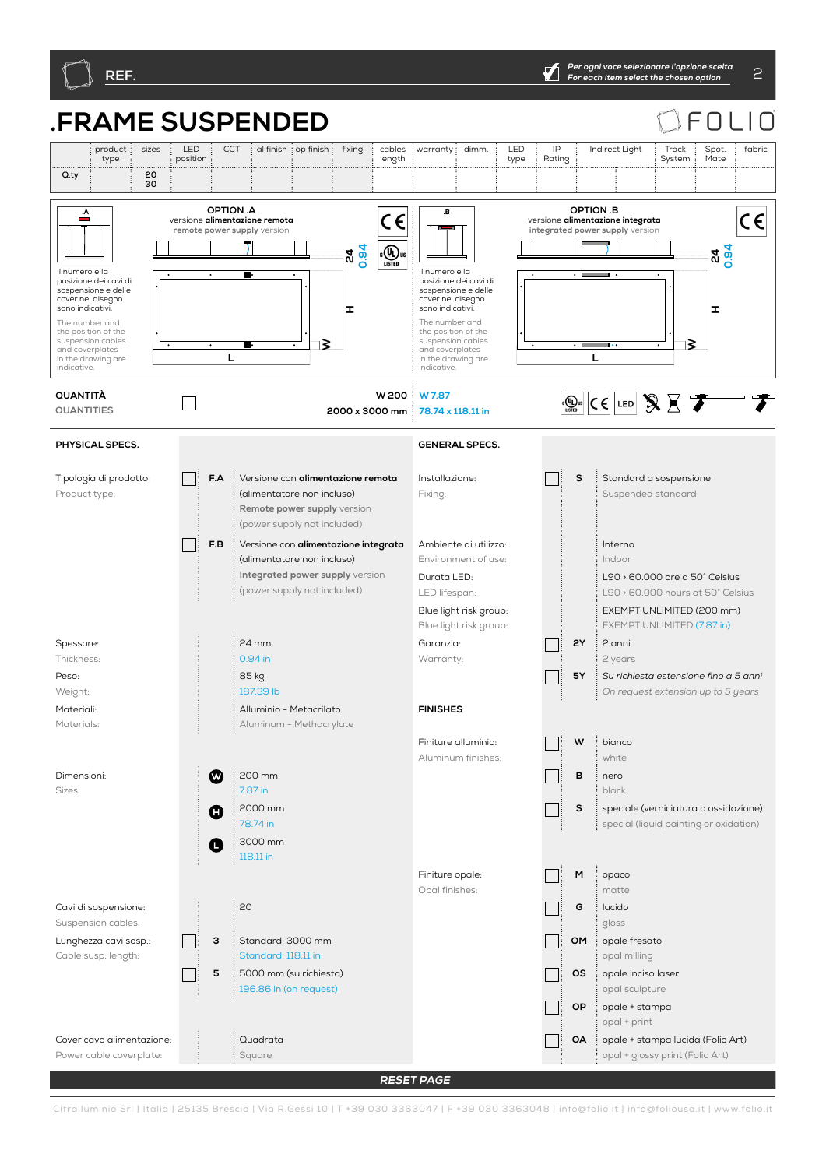Power cable coverplate:

Square

opal + glossy print (Folio Art)

## **.FRAME SUSPENDED** F  $\bigcap$ product sizes : LED CCT al finish op finish fixing cables  $warrow$ : dimm.  $E$  LED IP Indirect Light Track Spot. fabric type position length Rating System Mate type **Q.ty 20** ......<br>30<br>30 **F.AF.B P2P1 TWRQ3040352757 WBS OMOAOPOSMG USCC 35 2Y5Y 010 DMDACA ONV 4065DL BASE TS SM <sup>30</sup> <sup>30</sup> TINY45 TINY STK SA RQ40352757 TWRQ4057ROPTION .A OPTION .B**   $\overline{c}$ E  $C \in$  $\epsilon$ versione **alimentazione remota** versione **alimentazione integrata remote power supply** version **integrated power supply**  $\overline{\phantom{0}}$  $\overline{\mathbb{C}(\mathbb{Q})}_{\text{ustra}}$ **24 0.94 24 0.94** Il numero e la Il numero e la posizione dei cavi di posizione dei cavi di sospensione e delle sospensione e delle cover nel disegno cover nel disegn sono indicativi. **H**sono indicativi. **H**The number and The number and the position of the the position of the suspension cables suspension cables ⊺≳ ⊺≷ and coverplates and coverplates **L** in the drawing are **L** in the drawing are indicative. indicative. **W 200 QUANTITÀ W 7.87**  $\boxed{(\bigoplus_{\text{LSTB}}\n\mathbb{C}\in \left]$  LED  $\bigotimes \n\mathbb{C}$  $\Box$ **78.74 x 118.11 in QUANTITIES 2000 x 3000 mm PHYSICAL SPECS. GENERAL SPECS. F.A** Versione con **alimentazione remota** Tipologia di prodotto: Installazione: **S** Standard a sospensione Fixing: Product type: (alimentatore non incluso) Suspended standard **Remote power supply** version (power supply not included) **F.B** Versione con **alimentazione integrata** Ambiente di utilizzo: Interno - 1 (alimentatore non incluso) Environment of use: Indoor **Integrated power supply** version Durata LED: L90 > 60.000 ore a 50° Celsius (power supply not included) LED lifespan: L90 > 60.000 hours at 50° Celsius Blue light risk group: EXEMPT UNLIMITED (200 mm) Blue light risk group: EXEMPT UNLIMITED (7.87 in) 24 mm **2Y** 2 anni Garanzia: Spessore:  $\mathbf{L}$ Thickness: 0.94 in Warranty: 2 years 85 kg **5Y** *Su richiesta estensione fino a 5 anni* Peso: Weight: 187.39 lb *On request extension up to 5 years* **FINISHES** Materiali: Alluminio - Metacrilato Materials: Aluminum - Methacrylate Finiture alluminio:  $W \stackrel{\text{if}}{\longrightarrow}$ Aluminum finishes: white  $\boldsymbol{\Omega}$ 200 mm **B** nero Dimensioni: 7.87 in Sizes: black 2000 mm **S** speciale (verniciatura o ossidazione) Ω 78.74 in special (liquid painting or oxidation) 3000 mm A 118.11 in Finiture opale: **M** opaco Opal finishes: matte Cavi di sospensione: 20 **G** lucido Suspension cables: gloss **3** Standard: 3000 mm Lunghezza cavi sosp.: **OM** : opale fresato Standard: 118.11 in Cable susp. length: opal milling **5** 5000 mm (su richiesta) **OS** opale inciso laser 196.86 in (on request) opal sculpture **OP** opale + stampa opal + print Cover cavo alimentazione: Quadrata **OA** opale + stampa lucida (Folio Art)

**RESET PAGE**

Cifralluminio Srl | Italia | 25135 Brescia | Via R.Gessi 10 | T +39 030 3363047 | F +39 030 3363048 | info@folio.it | info@foliousa.it | www.folio.it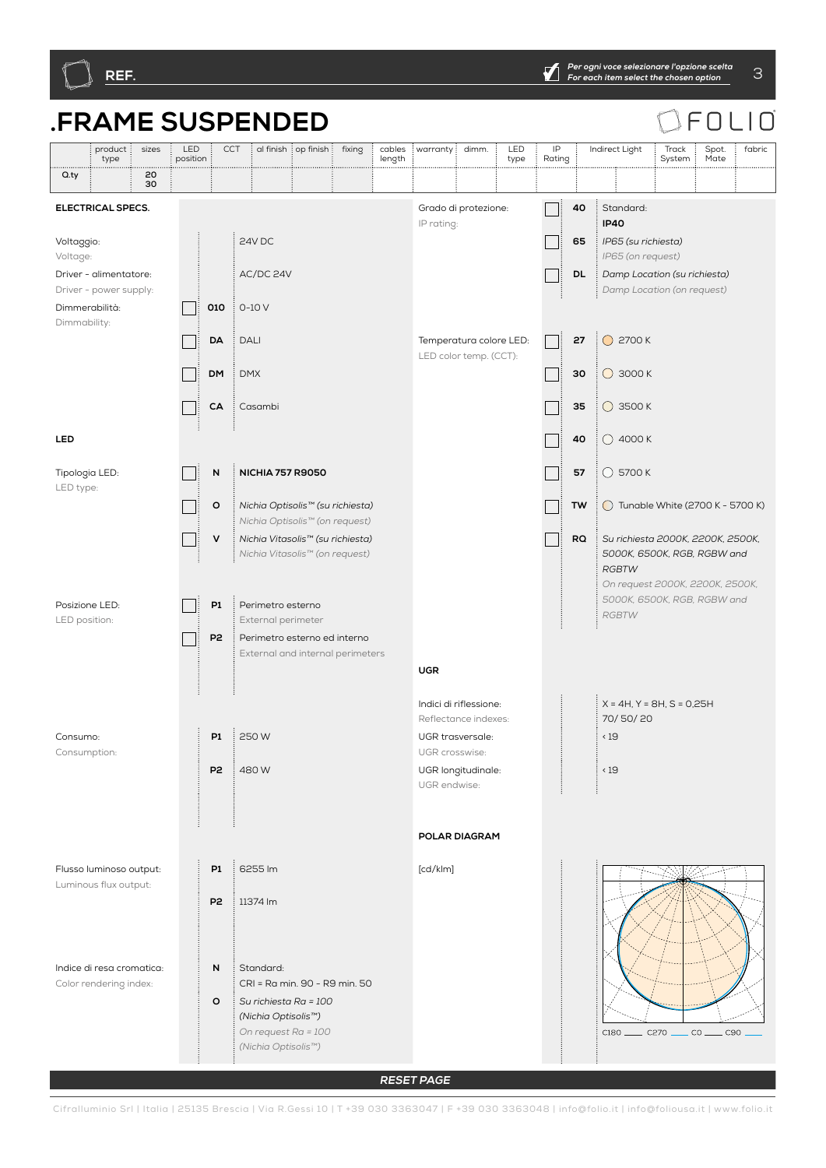

**RESET PAGE**

Cifralluminio Srl | Italia | 25135 Brescia | Via R.Gessi 10 | T +39 030 3363047 | F +39 030 3363048 | info@folio.it | info@foliousa.it | www.folio.it